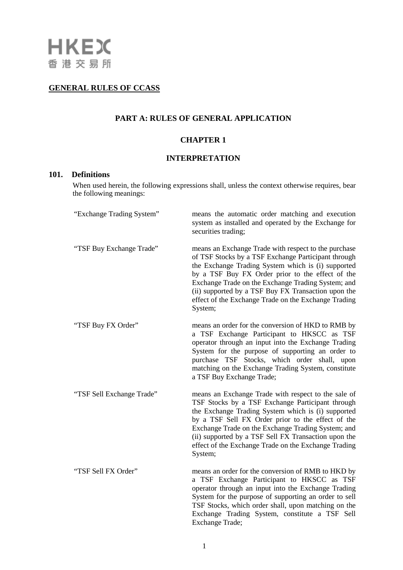# **GENERAL RULES OF CCASS**

# **PART A: RULES OF GENERAL APPLICATION**

## **CHAPTER 1**

### **INTERPRETATION**

## **101. Definitions**

When used herein, the following expressions shall, unless the context otherwise requires, bear the following meanings:

| "Exchange Trading System" | means the automatic order matching and execution<br>system as installed and operated by the Exchange for<br>securities trading;                                                                                                                                                                                                                                                                       |
|---------------------------|-------------------------------------------------------------------------------------------------------------------------------------------------------------------------------------------------------------------------------------------------------------------------------------------------------------------------------------------------------------------------------------------------------|
| "TSF Buy Exchange Trade"  | means an Exchange Trade with respect to the purchase<br>of TSF Stocks by a TSF Exchange Participant through<br>the Exchange Trading System which is (i) supported<br>by a TSF Buy FX Order prior to the effect of the<br>Exchange Trade on the Exchange Trading System; and<br>(ii) supported by a TSF Buy FX Transaction upon the<br>effect of the Exchange Trade on the Exchange Trading<br>System; |
| "TSF Buy FX Order"        | means an order for the conversion of HKD to RMB by<br>a TSF Exchange Participant to HKSCC as TSF<br>operator through an input into the Exchange Trading<br>System for the purpose of supporting an order to<br>purchase TSF Stocks, which order shall, upon<br>matching on the Exchange Trading System, constitute<br>a TSF Buy Exchange Trade;                                                       |
| "TSF Sell Exchange Trade" | means an Exchange Trade with respect to the sale of<br>TSF Stocks by a TSF Exchange Participant through<br>the Exchange Trading System which is (i) supported<br>by a TSF Sell FX Order prior to the effect of the<br>Exchange Trade on the Exchange Trading System; and<br>(ii) supported by a TSF Sell FX Transaction upon the<br>effect of the Exchange Trade on the Exchange Trading<br>System;   |
| "TSF Sell FX Order"       | means an order for the conversion of RMB to HKD by<br>a TSF Exchange Participant to HKSCC as TSF<br>operator through an input into the Exchange Trading<br>System for the purpose of supporting an order to sell<br>TSF Stocks, which order shall, upon matching on the<br>Exchange Trading System, constitute a TSF Sell<br>Exchange Trade;                                                          |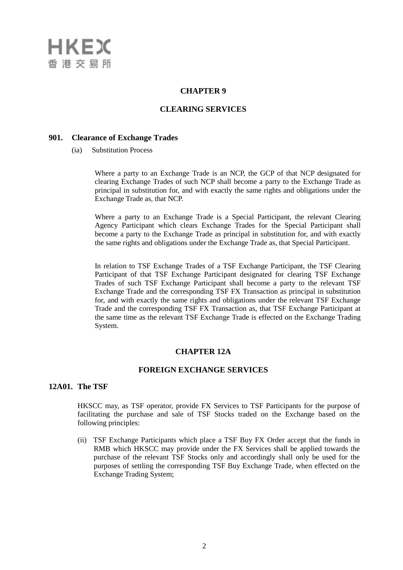

#### **CHAPTER 9**

### **CLEARING SERVICES**

#### **901. Clearance of Exchange Trades**

(ia) Substitution Process

Where a party to an Exchange Trade is an NCP, the GCP of that NCP designated for clearing Exchange Trades of such NCP shall become a party to the Exchange Trade as principal in substitution for, and with exactly the same rights and obligations under the Exchange Trade as, that NCP.

Where a party to an Exchange Trade is a Special Participant, the relevant Clearing Agency Participant which clears Exchange Trades for the Special Participant shall become a party to the Exchange Trade as principal in substitution for, and with exactly the same rights and obligations under the Exchange Trade as, that Special Participant.

In relation to TSF Exchange Trades of a TSF Exchange Participant, the TSF Clearing Participant of that TSF Exchange Participant designated for clearing TSF Exchange Trades of such TSF Exchange Participant shall become a party to the relevant TSF Exchange Trade and the corresponding TSF FX Transaction as principal in substitution for, and with exactly the same rights and obligations under the relevant TSF Exchange Trade and the corresponding TSF FX Transaction as, that TSF Exchange Participant at the same time as the relevant TSF Exchange Trade is effected on the Exchange Trading System.

#### **CHAPTER 12A**

#### **FOREIGN EXCHANGE SERVICES**

#### **12A01. The TSF**

HKSCC may, as TSF operator, provide FX Services to TSF Participants for the purpose of facilitating the purchase and sale of TSF Stocks traded on the Exchange based on the following principles:

(ii) TSF Exchange Participants which place a TSF Buy FX Order accept that the funds in RMB which HKSCC may provide under the FX Services shall be applied towards the purchase of the relevant TSF Stocks only and accordingly shall only be used for the purposes of settling the corresponding TSF Buy Exchange Trade, when effected on the Exchange Trading System;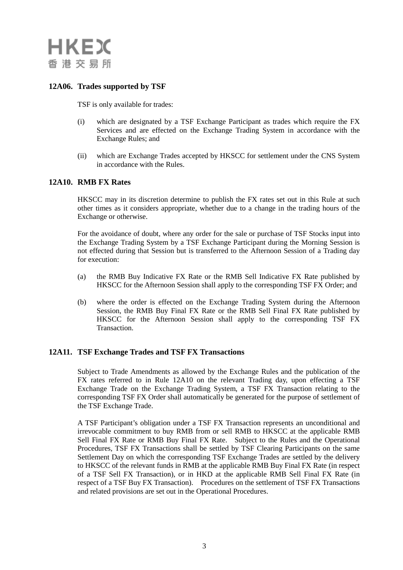

## **12A06. Trades supported by TSF**

TSF is only available for trades:

- (i) which are designated by a TSF Exchange Participant as trades which require the FX Services and are effected on the Exchange Trading System in accordance with the Exchange Rules; and
- (ii) which are Exchange Trades accepted by HKSCC for settlement under the CNS System in accordance with the Rules.

### **12A10. RMB FX Rates**

HKSCC may in its discretion determine to publish the FX rates set out in this Rule at such other times as it considers appropriate, whether due to a change in the trading hours of the Exchange or otherwise.

For the avoidance of doubt, where any order for the sale or purchase of TSF Stocks input into the Exchange Trading System by a TSF Exchange Participant during the Morning Session is not effected during that Session but is transferred to the Afternoon Session of a Trading day for execution:

- (a) the RMB Buy Indicative FX Rate or the RMB Sell Indicative FX Rate published by HKSCC for the Afternoon Session shall apply to the corresponding TSF FX Order; and
- (b) where the order is effected on the Exchange Trading System during the Afternoon Session, the RMB Buy Final FX Rate or the RMB Sell Final FX Rate published by HKSCC for the Afternoon Session shall apply to the corresponding TSF FX Transaction.

#### **12A11. TSF Exchange Trades and TSF FX Transactions**

Subject to Trade Amendments as allowed by the Exchange Rules and the publication of the FX rates referred to in Rule 12A10 on the relevant Trading day, upon effecting a TSF Exchange Trade on the Exchange Trading System, a TSF FX Transaction relating to the corresponding TSF FX Order shall automatically be generated for the purpose of settlement of the TSF Exchange Trade.

A TSF Participant's obligation under a TSF FX Transaction represents an unconditional and irrevocable commitment to buy RMB from or sell RMB to HKSCC at the applicable RMB Sell Final FX Rate or RMB Buy Final FX Rate. Subject to the Rules and the Operational Procedures, TSF FX Transactions shall be settled by TSF Clearing Participants on the same Settlement Day on which the corresponding TSF Exchange Trades are settled by the delivery to HKSCC of the relevant funds in RMB at the applicable RMB Buy Final FX Rate (in respect of a TSF Sell FX Transaction), or in HKD at the applicable RMB Sell Final FX Rate (in respect of a TSF Buy FX Transaction). Procedures on the settlement of TSF FX Transactions and related provisions are set out in the Operational Procedures.